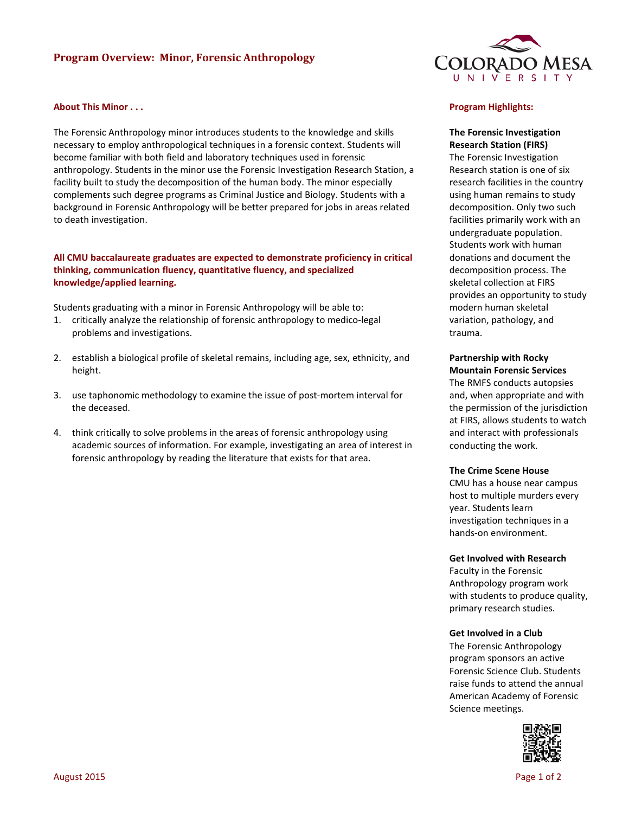# **Program Overview: Minor, Forensic Anthropology**

#### **About This Minor . . .**

The Forensic Anthropology minor introduces students to the knowledge and skills necessary to employ anthropological techniques in a forensic context. Students will become familiar with both field and laboratory techniques used in forensic anthropology. Students in the minor use the Forensic Investigation Research Station, a facility built to study the decomposition of the human body. The minor especially complements such degree programs as Criminal Justice and Biology. Students with a background in Forensic Anthropology will be better prepared for jobs in areas related to death investigation.

# **All CMU baccalaureate graduates are expected to demonstrate proficiency in critical thinking, communication fluency, quantitative fluency, and specialized knowledge/applied learning.**

Students graduating with a minor in Forensic Anthropology will be able to:

- 1. critically analyze the relationship of forensic anthropology to medico-legal problems and investigations.
- 2. establish a biological profile of skeletal remains, including age, sex, ethnicity, and height.
- 3. use taphonomic methodology to examine the issue of post-mortem interval for the deceased.
- 4. think critically to solve problems in the areas of forensic anthropology using academic sources of information. For example, investigating an area of interest in forensic anthropology by reading the literature that exists for that area.



#### **Program Highlights:**

# **The Forensic Investigation Research Station (FIRS)**

The Forensic Investigation Research station is one of six research facilities in the country using human remains to study decomposition. Only two such facilities primarily work with an undergraduate population. Students work with human donations and document the decomposition process. The skeletal collection at FIRS provides an opportunity to study modern human skeletal variation, pathology, and trauma.

**Partnership with Rocky Mountain Forensic Services**

The RMFS conducts autopsies and, when appropriate and with the permission of the jurisdiction at FIRS, allows students to watch and interact with professionals conducting the work.

#### **The Crime Scene House**

CMU has a house near campus host to multiple murders every year. Students learn investigation techniques in a hands-on environment.

#### **Get Involved with Research**

Faculty in the Forensic Anthropology program work with students to produce quality, primary research studies.

#### **Get Involved in a Club**

The Forensic Anthropology program sponsors an active Forensic Science Club. Students raise funds to attend the annual American Academy of Forensic Science meetings.